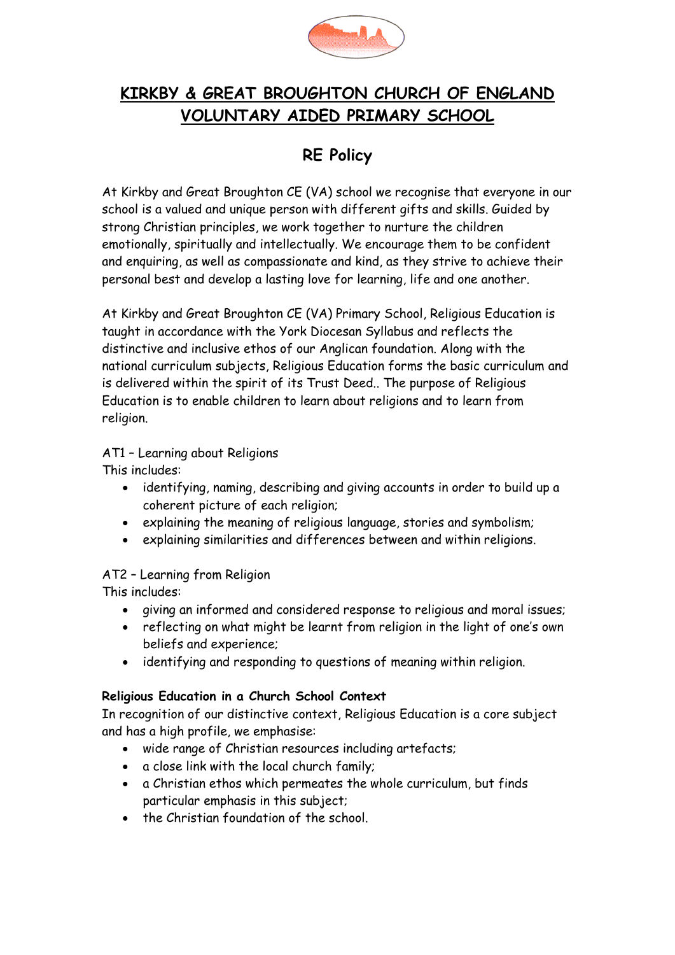

# **KIRKBY & GREAT BROUGHTON CHURCH OF ENGLAND VOLUNTARY AIDED PRIMARY SCHOOL**

# **RE Policy**

At Kirkby and Great Broughton CE (VA) school we recognise that everyone in our school is a valued and unique person with different gifts and skills. Guided by strong Christian principles, we work together to nurture the children emotionally, spiritually and intellectually. We encourage them to be confident and enquiring, as well as compassionate and kind, as they strive to achieve their personal best and develop a lasting love for learning, life and one another.

At Kirkby and Great Broughton CE (VA) Primary School, Religious Education is taught in accordance with the York Diocesan Syllabus and reflects the distinctive and inclusive ethos of our Anglican foundation. Along with the national curriculum subjects, Religious Education forms the basic curriculum and is delivered within the spirit of its Trust Deed.. The purpose of Religious Education is to enable children to learn about religions and to learn from religion.

### AT1 – Learning about Religions

This includes:

- identifying, naming, describing and giving accounts in order to build up a coherent picture of each religion;
- explaining the meaning of religious language, stories and symbolism;
- explaining similarities and differences between and within religions.

## AT2 – Learning from Religion

This includes:

- giving an informed and considered response to religious and moral issues;
- reflecting on what might be learnt from religion in the light of one's own beliefs and experience;
- identifying and responding to questions of meaning within religion.

### **Religious Education in a Church School Context**

In recognition of our distinctive context, Religious Education is a core subject and has a high profile, we emphasise:

- wide range of Christian resources including artefacts;
- a close link with the local church family;
- a Christian ethos which permeates the whole curriculum, but finds particular emphasis in this subject;
- the Christian foundation of the school.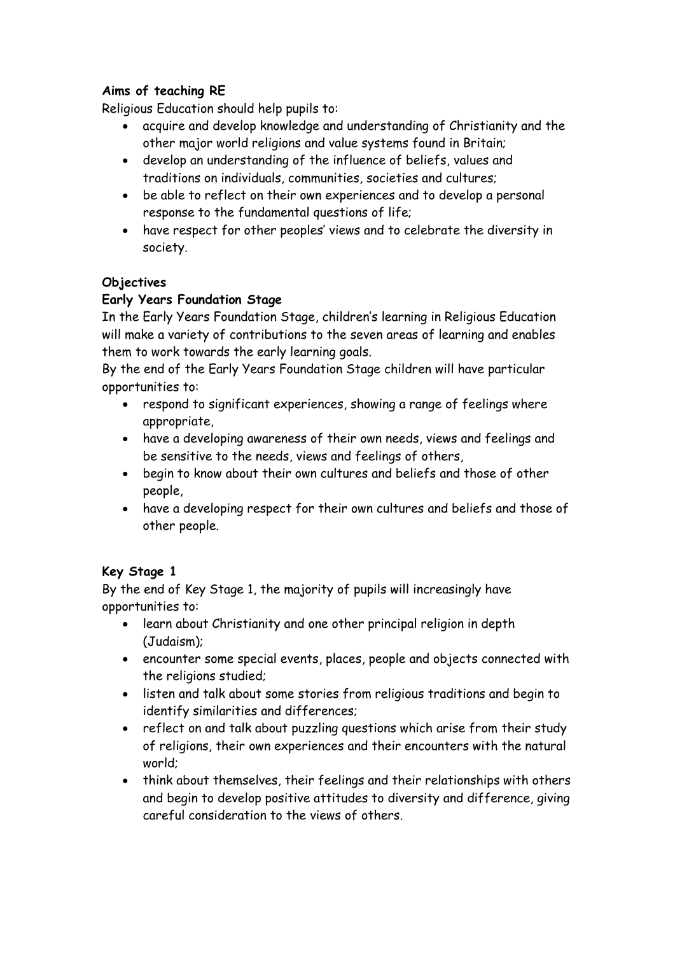## **Aims of teaching RE**

Religious Education should help pupils to:

- acquire and develop knowledge and understanding of Christianity and the other major world religions and value systems found in Britain;
- develop an understanding of the influence of beliefs, values and traditions on individuals, communities, societies and cultures;
- be able to reflect on their own experiences and to develop a personal response to the fundamental questions of life;
- have respect for other peoples' views and to celebrate the diversity in society.

#### **Objectives**

### **Early Years Foundation Stage**

In the Early Years Foundation Stage, children's learning in Religious Education will make a variety of contributions to the seven areas of learning and enables them to work towards the early learning goals.

By the end of the Early Years Foundation Stage children will have particular opportunities to:

- respond to significant experiences, showing a range of feelings where appropriate,
- have a developing awareness of their own needs, views and feelings and be sensitive to the needs, views and feelings of others,
- begin to know about their own cultures and beliefs and those of other people,
- have a developing respect for their own cultures and beliefs and those of other people.

### **Key Stage 1**

By the end of Key Stage 1, the majority of pupils will increasingly have opportunities to:

- learn about Christianity and one other principal religion in depth (Judaism);
- encounter some special events, places, people and objects connected with the religions studied;
- listen and talk about some stories from religious traditions and begin to identify similarities and differences;
- reflect on and talk about puzzling questions which arise from their study of religions, their own experiences and their encounters with the natural world;
- think about themselves, their feelings and their relationships with others and begin to develop positive attitudes to diversity and difference, giving careful consideration to the views of others.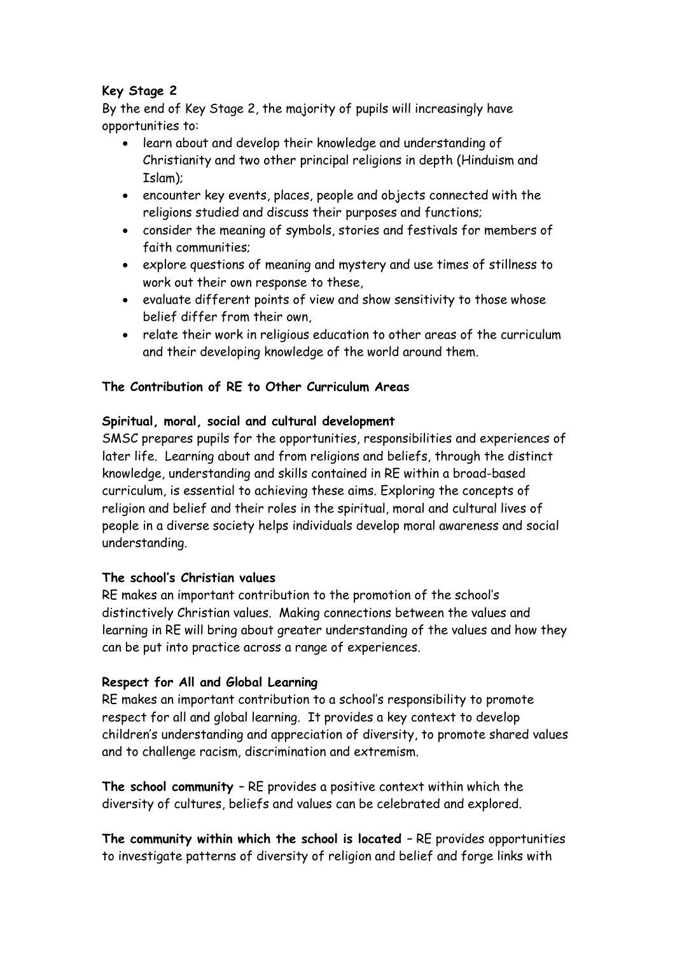## **Key Stage 2**

By the end of Key Stage 2, the majority of pupils will increasingly have opportunities to:

- learn about and develop their knowledge and understanding of Christianity and two other principal religions in depth (Hinduism and Islam);
- encounter key events, places, people and objects connected with the religions studied and discuss their purposes and functions;
- consider the meaning of symbols, stories and festivals for members of faith communities;
- explore questions of meaning and mystery and use times of stillness to work out their own response to these,
- evaluate different points of view and show sensitivity to those whose belief differ from their own,
- relate their work in religious education to other areas of the curriculum and their developing knowledge of the world around them.

#### **The Contribution of RE to Other Curriculum Areas**

#### **Spiritual, moral, social and cultural development**

SMSC prepares pupils for the opportunities, responsibilities and experiences of later life. Learning about and from religions and beliefs, through the distinct knowledge, understanding and skills contained in RE within a broad-based curriculum, is essential to achieving these aims. Exploring the concepts of religion and belief and their roles in the spiritual, moral and cultural lives of people in a diverse society helps individuals develop moral awareness and social understanding.

#### **The school's Christian values**

RE makes an important contribution to the promotion of the school's distinctively Christian values. Making connections between the values and learning in RE will bring about greater understanding of the values and how they can be put into practice across a range of experiences.

#### **Respect for All and Global Learning**

RE makes an important contribution to a school's responsibility to promote respect for all and global learning. It provides a key context to develop children's understanding and appreciation of diversity, to promote shared values and to challenge racism, discrimination and extremism.

**The school community** – RE provides a positive context within which the diversity of cultures, beliefs and values can be celebrated and explored.

**The community within which the school is located** – RE provides opportunities to investigate patterns of diversity of religion and belief and forge links with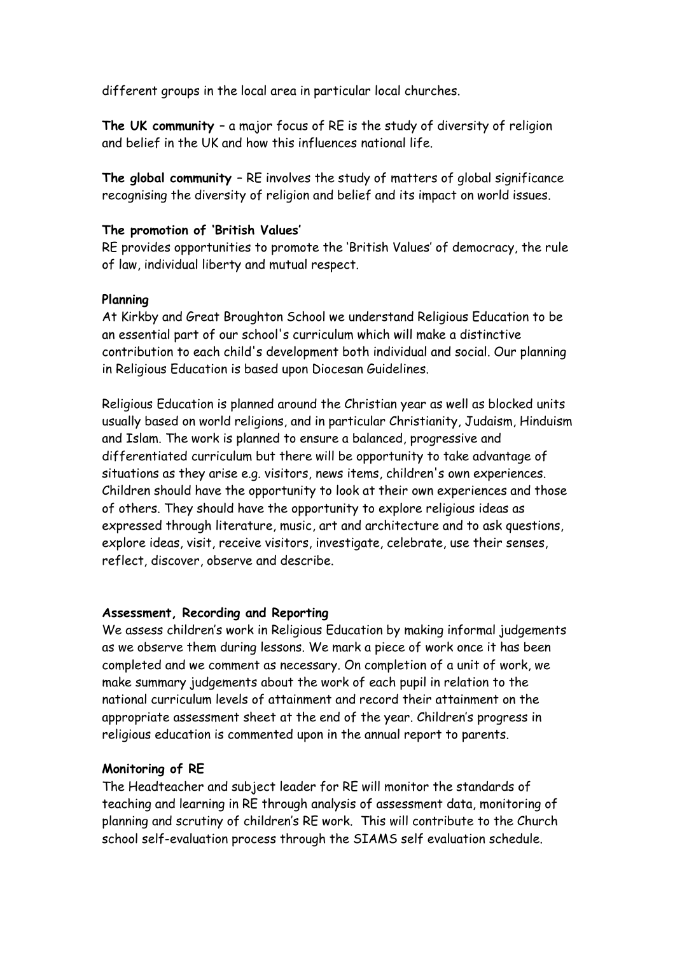different groups in the local area in particular local churches.

**The UK community** – a major focus of RE is the study of diversity of religion and belief in the UK and how this influences national life.

**The global community** – RE involves the study of matters of global significance recognising the diversity of religion and belief and its impact on world issues.

#### **The promotion of 'British Values'**

RE provides opportunities to promote the 'British Values' of democracy, the rule of law, individual liberty and mutual respect.

#### **Planning**

At Kirkby and Great Broughton School we understand Religious Education to be an essential part of our school's curriculum which will make a distinctive contribution to each child's development both individual and social. Our planning in Religious Education is based upon Diocesan Guidelines.

Religious Education is planned around the Christian year as well as blocked units usually based on world religions, and in particular Christianity, Judaism, Hinduism and Islam. The work is planned to ensure a balanced, progressive and differentiated curriculum but there will be opportunity to take advantage of situations as they arise e.g. visitors, news items, children's own experiences. Children should have the opportunity to look at their own experiences and those of others. They should have the opportunity to explore religious ideas as expressed through literature, music, art and architecture and to ask questions, explore ideas, visit, receive visitors, investigate, celebrate, use their senses, reflect, discover, observe and describe.

#### **Assessment, Recording and Reporting**

We assess children's work in Religious Education by making informal judgements as we observe them during lessons. We mark a piece of work once it has been completed and we comment as necessary. On completion of a unit of work, we make summary judgements about the work of each pupil in relation to the national curriculum levels of attainment and record their attainment on the appropriate assessment sheet at the end of the year. Children's progress in religious education is commented upon in the annual report to parents.

#### **Monitoring of RE**

The Headteacher and subject leader for RE will monitor the standards of teaching and learning in RE through analysis of assessment data, monitoring of planning and scrutiny of children's RE work. This will contribute to the Church school self-evaluation process through the SIAMS self evaluation schedule.